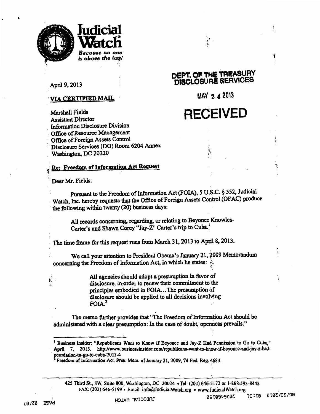



April 9, 2013

Marshall Fields **Assistant Director** 

#### <u>VIA CERTIFIED MAIL</u>

**Information Disclosure Division** Office of Resource Management Office of Foreign Assets Control DEPT. OF THE TREASURY DISCLOSURE SERVICES

MAY 2 4 2013

# **RECEIVED**

Re: Freedom of Information Act Request

Disclosure Services (DO) Room 6204 Annex

Dear Mr. Fields:

Washington, DC 20220

Pursuant to the Freedom of Information Act (FOIA), 5 U.S.C. § 552, Judicial Watch, Inc. hereby requests that the Office of Foreign Assets Control (OFAC) produce the following within twenty (20) business days:

All records concerning, regarding, or relating to Beyonce Knowles-Carter's and Shawn Corey "Jay-Z" Carter's trip to Cuba.

The time frame for this request runs from March 31, 2013 to April 8, 2013.

We call your attention to President Obama's January 21, 2009 Memorandum concerning the Freedom of Information Act, in which he states:

> All agencies should adopt a presumption in favor of disclosure, in order to renew their commitment to the principles embodied in FOIA...The presumption of disclosure should be applied to all decisions involving  $FOIA<sup>2</sup>$

The memo further provides that "The Freedom of Information Act should be administered with a clear presumption: In the case of doubt, openness prevails."

425 Third St., SW, Suite 800, Washington, DC 20024 . Tel: (202) 646-5172 or 1-888-593-8442 FAX: (202) 646-5199 Email: info@JudicialWatch.org . www.JudicialWatch.org

**92/33/3073 87:37 GRIPPRETAR** 

Business Insider: "Republicans Want to Know If Beyonce and Jay-Z Had Permission to Go to Cuba," April 7, 2013. http://www.businessinsider.com/republicans-want-to-know-if-beyonce-and-jay-z-hadpermission-to-go-to-cuba-2013-4<br><sup>2</sup> Freedom of Information Act. Pres. Mem. of January 21, 2009, 74 Fed. Reg. 4683.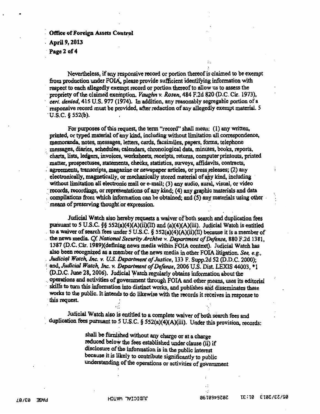#### Office of Foreign Assets Control April 9, 2013 Page 2 of 4

Nevertheless, if any responsive record or portion thereof is claimed to be exempt from production under FOIA, please provide sufficient identifying information with respect to each allegedly exempt record or portion thereof to allow us to assess the propriety of the claimed exemption. *Vaughn v. Rosen*, 484 F.2d 820 (D.C. Cir. 1973), cert. denied, 415 U.S. 977 (1974). In addition, any reasonably segregable portion of a responsive record must be provided, after redaction of any allegedly exempt material. 5  $U.S.C.$  § 552(b).

For purposes of this request, the term "record" shall mean: (1) any written, printed, or typed material of any kind, including without limitation all correspondence, memoranda, notes, messages, letters, cards, facsimiles, papers, forms, telephone messages, diaries, schedules, calendars, chronological data, minutes, books, reports, charts, lists, ledgers, invoices, worksheets, receipts, returns, computer printouts, printed matter, prospectuses, statements, cheeks, statistics, surveys, affidavits, contracts, agreements, transcripts, magazine or newspaper articles, or press releases; (2) any . electronically, magnetically' or mechanically stored material of any kind, including ' without limitation all electronic mail or e-mail; (3) any audio, aural, visual, or video records, recordings, or representations of any kind; (4) any graphic materials and data compilations from which information can be obtained; and (5) any materials using other means of preserving thought or expression.

Judicial Watch also hereby requests a waiver of both search and duplication fees pursuant to 5 U.S.C. §§ 552(a)(4)(A)(ii)(II) and (a)(4)(A)(iii). Judicial Watoh is entitled to a waiver of search fees under 5 U.S.C.  $\S$  552(a)(4)(A)(ii)(II) because it is a member of the news media. *Cf. National Security Archtve v. Department of Defense*, 880 F.2d 1381, 1387 (D.C. Cir. 1989)(defining news media within FOIA context). Judicial Watch has also been recognized as a member of the news media in other FOIA litigation. See, e.g., Judicial Watch, Inc. v. U.S. Department of Justice, 133 F. Supp.2d 52 (D.D.C. 2000); and, Judicial Watch, Inc. v. Department of Defense, 2006 U.S. Dist. LEXIS 44003, \*1 (D.D.C. June 28, 2006). Judicial Watch regularly obtains information about the operations and activities of government through FOIA and other means, uses its editorial skills to turn this information into distinct works, and publishes and disseminates these works to the public. It intends to do likewise with the records it receives in response to this request.

Judicial Watch also is entitled to a complete waiver of both search fees and duplication fees pursuant to 5 U.S.C. § 552(a)(4)(A)(iii). Under this provision, records:

> shall be furnished without any charge or at a charge reduced below the fees established under clause (ii) if disclosure of the information is in the public interest because it is likely to contribute significantly to public understanding of the operations or activities of government

,·

 $\vdots$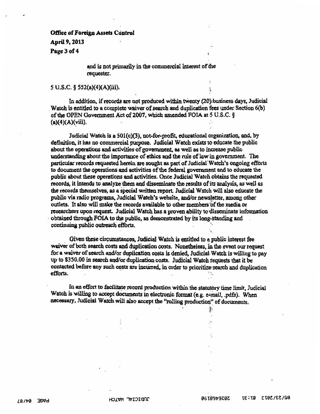### Office of Foreign Assets Control April 9, 2013 Page 3 of 4

and is not primarily in the commercial interest of the requester.

#### 5 U.S.C. § 552(a)(4)(A)(iii). <sup>I</sup>

In addition, if records are not produced within tWenty (20);business days, Judicial Watch is entitled to a complete waiver of search and duplication fees under Section 6(b) of the OPEN Government Act of2007, which amended FOIA at *S* U.S.C. §  ${a}(4)(A)(\n$ iii).

·~

 $\cdot$   $\cdot$ 

Judicial Watch is a 501(c)(3), not-for-profit, educational organization, and, by definition, it has no commercial purpose. Judicial Watch exists to educate the public about the operations and activities of govenunent, as well as to increase public understanding about the importance of ethics and the rule of law· in government. The particular records requested herein are sought as part of Judicial Watch's ongoing efforts to document the operations and activities of the federal government and to educate the public about these operations and activities. Once Judicial Watch 9btains the requested records, it intends to analyze them and disseminate the results of its analysis, as well as the records themselves, as a special written report. Judicial Watch will also educate the public via radio programs, Judicial Watch's website, and/or news! etter, among other outlets. It also will make the records available to other members of the media or researchers upon request. Judicial Watch has a proven ability to disseminate information obtained through FOIA to the public, as demonstrated by its long-standing and continuing public outreach efforts.

Given these circumstances, Judicial Watch is entitled to a public interest fee waiver of both search costs and duplication costs. Nonetheless, in the event our request for a waiver of search and/or duplication costs is denied, Judicial· Watch is willing to pay up to \$350.00 in search and/or duplication costs. Judicial Watch tequests that it be contacted before any such costs are incurred, in order to prioritize search and duplication efforts.

In an effort to facilitate record production within the statutory time limit, Judicial Watch is willing to accept documents in electronic format (e.g. e-mail, .pdfs). When necessary, Judicial Watch will also accept the "rolling production" of documents.